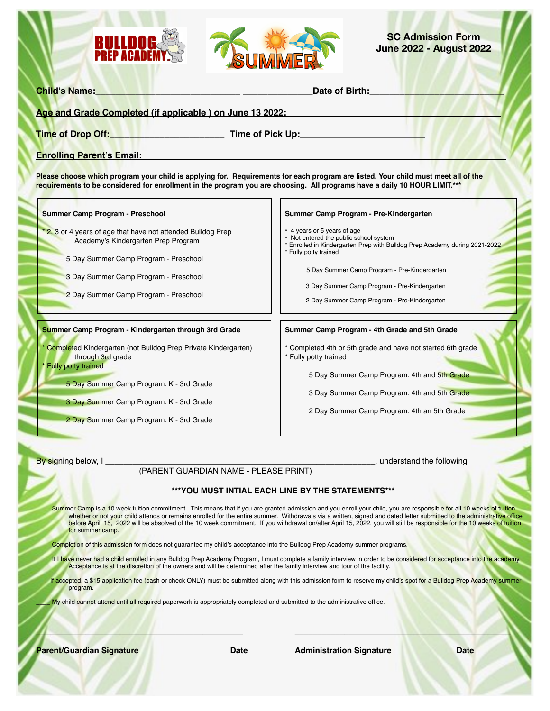



**SC Admission Form June 2022 - August 2022**

| <b>Time of Drop Off:</b> | Time of Pick Up: |  |
|--------------------------|------------------|--|

uirements for each program are listed. Your child must meet all of the **requirements to be considered for enrollment in the program you are choosing. All programs have a daily 10 HOUR LIMIT.\*\*\***

**Summer Camp Program - Preschool**

2, 3 or 4 years of age that have not attended Bulldog Prep Academy's Kindergarten Prep Program

\_\_\_\_\_\_5 Day Summer Camp Program - Preschool

3 Day Summer Camp Program - Preschool

2 Day Summer Camp Program - Preschool

#### **Summer Camp Program - Kindergarten through 3rd Grade**

Completed Kindergarten (not Bulldog Prep Private Kindergarten) through 3rd grade

Fully potty trained

\_\_\_\_\_\_5 Day Summer Camp Program: K - 3rd Grade

3 Day Summer Camp Program: K - 3rd Grade

2 Day Summer Camp Program: K - 3rd Grade

By signing below, I contract the following intervention of the following intervention of the following intervention of the following intervention of the following intervention of the following intervention of the following

**Summer Camp Program - 4th Grade and 5th Grade**

\_\_\_\_\_\_5 Day Summer Camp Program - Pre-Kindergarten \_3 Day Summer Camp Program - Pre-Kindergarten \_\_\_\_\_\_2 Day Summer Camp Program - Pre-Kindergarten

**Summer Camp Program - Pre-Kindergarten**

Date of Birth:

\* Completed 4th or 5th grade and have not started 6th grade

5 Day Summer Camp Program: 4th and 5th Grade

\* Enrolled in Kindergarten Prep with Bulldog Prep Academy during 2021-2022

3 Day Summer Camp Program: 4th and 5th Grade

2 Day Summer Camp Program: 4th an 5th Grade

### (PARENT GUARDIAN NAME - PLEASE PRINT)

#### **\*\*\*YOU MUST INTIAL EACH LINE BY THE STATEMENTS\*\*\***

Summer Camp is a 10 week tuition commitment. This means that if you are granted admission and you enroll your child, you are responsible for all 10 weeks of tuition, whether or not your child attends or remains enrolled for the entire summer. Withdrawals via a written, signed and dated letter submitted to the administrative office before April 15, 2022 will be absolved of the 10 week commitment. If you withdrawal on/after April 15, 2022, you will still be responsible for the 10 weeks of tuition for summer camp.

\* Fully potty trained

4 years or 5 years of age \* Not entered the public school system

\* Fully potty trained

Completion of this admission form does not guarantee my child's acceptance into the Bulldog Prep Academy summer programs.

If I have never had a child enrolled in any Bulldog Prep Academy Program, I must complete a family interview in order to be considered for acceptance into the academy. Acceptance is at the discretion of the owners and will be determined after the family interview and tour of the facility.

If accepted, a \$15 application fee (cash or check ONLY) must be submitted along with this admission form to reserve my child's spot for a Bulldog Prep Academy summer program.

 $\Box$ 

My child cannot attend until all required paperwork is appropriately completed and submitted to the administrative office.

**Parent/Guardian Signature Communistration Date Administration Signature Date** Date